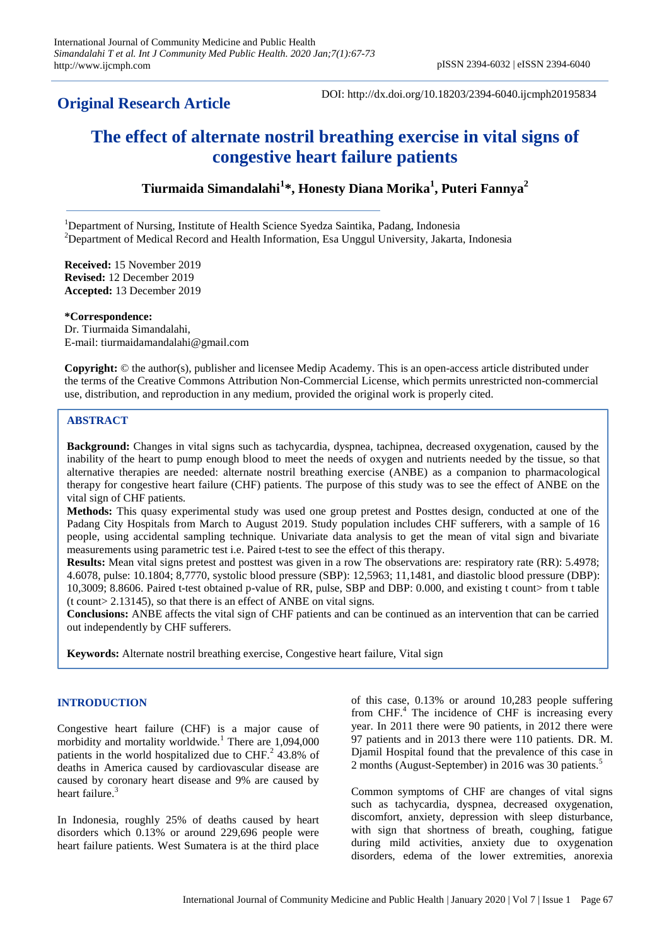# **Original Research Article**

DOI: http://dx.doi.org/10.18203/2394-6040.ijcmph20195834

# **The effect of alternate nostril breathing exercise in vital signs of congestive heart failure patients**

**Tiurmaida Simandalahi<sup>1</sup> \*, Honesty Diana Morika<sup>1</sup> , Puteri Fannya<sup>2</sup>**

<sup>1</sup>Department of Nursing, Institute of Health Science Syedza Saintika, Padang, Indonesia  $2D$ epartment of Medical Record and Health Information, Esa Unggul University, Jakarta, Indonesia

**Received:** 15 November 2019 **Revised:** 12 December 2019 **Accepted:** 13 December 2019

**\*Correspondence:** Dr. Tiurmaida Simandalahi, E-mail: tiurmaidamandalahi@gmail.com

**Copyright:** © the author(s), publisher and licensee Medip Academy. This is an open-access article distributed under the terms of the Creative Commons Attribution Non-Commercial License, which permits unrestricted non-commercial use, distribution, and reproduction in any medium, provided the original work is properly cited.

# **ABSTRACT**

**Background:** Changes in vital signs such as tachycardia, dyspnea, tachipnea, decreased oxygenation, caused by the inability of the heart to pump enough blood to meet the needs of oxygen and nutrients needed by the tissue, so that alternative therapies are needed: alternate nostril breathing exercise (ANBE) as a companion to pharmacological therapy for congestive heart failure (CHF) patients. The purpose of this study was to see the effect of ANBE on the vital sign of CHF patients.

**Methods:** This quasy experimental study was used one group pretest and Posttes design, conducted at one of the Padang City Hospitals from March to August 2019. Study population includes CHF sufferers, with a sample of 16 people, using accidental sampling technique. Univariate data analysis to get the mean of vital sign and bivariate measurements using parametric test i.e. Paired t-test to see the effect of this therapy.

**Results:** Mean vital signs pretest and posttest was given in a row The observations are: respiratory rate (RR): 5.4978; 4.6078, pulse: 10.1804; 8,7770, systolic blood pressure (SBP): 12,5963; 11,1481, and diastolic blood pressure (DBP): 10,3009; 8.8606. Paired t-test obtained p-value of RR, pulse, SBP and DBP: 0.000, and existing t count> from t table (t count> 2.13145), so that there is an effect of ANBE on vital signs.

**Conclusions:** ANBE affects the vital sign of CHF patients and can be continued as an intervention that can be carried out independently by CHF sufferers.

**Keywords:** Alternate nostril breathing exercise, Congestive heart failure, Vital sign

# **INTRODUCTION**

Congestive heart failure (CHF) is a major cause of morbidity and mortality worldwide.<sup>1</sup> There are 1,094,000 patients in the world hospitalized due to CHF.<sup>2</sup> 43.8% of deaths in America caused by cardiovascular disease are caused by coronary heart disease and 9% are caused by heart failure.<sup>3</sup>

In Indonesia, roughly 25% of deaths caused by heart disorders which 0.13% or around 229,696 people were heart failure patients. West Sumatera is at the third place

of this case, 0.13% or around 10,283 people suffering from CHF.<sup>4</sup> The incidence of CHF is increasing every year. In 2011 there were 90 patients, in 2012 there were 97 patients and in 2013 there were 110 patients. DR. M. Djamil Hospital found that the prevalence of this case in 2 months (August-September) in 2016 was 30 patients.<sup>5</sup>

Common symptoms of CHF are changes of vital signs such as tachycardia, dyspnea, decreased oxygenation, discomfort, anxiety, depression with sleep disturbance, with sign that shortness of breath, coughing, fatigue during mild activities, anxiety due to oxygenation disorders, edema of the lower extremities, anorexia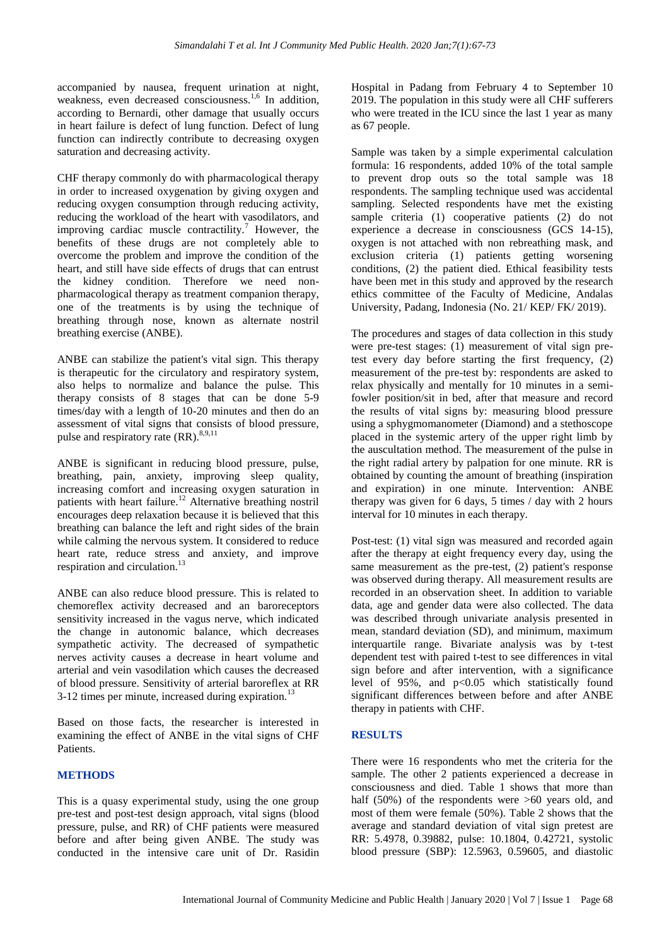accompanied by nausea, frequent urination at night, weakness, even decreased consciousness.<sup>1,6</sup> In addition, according to Bernardi, other damage that usually occurs in heart failure is defect of lung function. Defect of lung function can indirectly contribute to decreasing oxygen saturation and decreasing activity.

CHF therapy commonly do with pharmacological therapy in order to increased oxygenation by giving oxygen and reducing oxygen consumption through reducing activity, reducing the workload of the heart with vasodilators, and improving cardiac muscle contractility.<sup>7</sup> However, the benefits of these drugs are not completely able to overcome the problem and improve the condition of the heart, and still have side effects of drugs that can entrust the kidney condition. Therefore we need nonpharmacological therapy as treatment companion therapy, one of the treatments is by using the technique of breathing through nose, known as alternate nostril breathing exercise (ANBE).

ANBE can stabilize the patient's vital sign. This therapy is therapeutic for the circulatory and respiratory system, also helps to normalize and balance the pulse. This therapy consists of 8 stages that can be done 5-9 times/day with a length of 10-20 minutes and then do an assessment of vital signs that consists of blood pressure, pulse and respiratory rate  $(RR)$ .<sup>8,9,11</sup>

ANBE is significant in reducing blood pressure, pulse, breathing, pain, anxiety, improving sleep quality, increasing comfort and increasing oxygen saturation in patients with heart failure.<sup>12</sup> Alternative breathing nostril encourages deep relaxation because it is believed that this breathing can balance the left and right sides of the brain while calming the nervous system. It considered to reduce heart rate, reduce stress and anxiety, and improve respiration and circulation.<sup>13</sup>

ANBE can also reduce blood pressure. This is related to chemoreflex activity decreased and an baroreceptors sensitivity increased in the vagus nerve, which indicated the change in autonomic balance, which decreases sympathetic activity. The decreased of sympathetic nerves activity causes a decrease in heart volume and arterial and vein vasodilation which causes the decreased of blood pressure. Sensitivity of arterial baroreflex at RR  $3-12$  times per minute, increased during expiration.<sup>13</sup>

Based on those facts, the researcher is interested in examining the effect of ANBE in the vital signs of CHF Patients.

# **METHODS**

This is a quasy experimental study, using the one group pre-test and post-test design approach, vital signs (blood pressure, pulse, and RR) of CHF patients were measured before and after being given ANBE. The study was conducted in the intensive care unit of Dr. Rasidin

Hospital in Padang from February 4 to September 10 2019. The population in this study were all CHF sufferers who were treated in the ICU since the last 1 year as many as 67 people.

Sample was taken by a simple experimental calculation formula: 16 respondents, added 10% of the total sample to prevent drop outs so the total sample was 18 respondents. The sampling technique used was accidental sampling. Selected respondents have met the existing sample criteria (1) cooperative patients (2) do not experience a decrease in consciousness (GCS 14-15), oxygen is not attached with non rebreathing mask, and exclusion criteria (1) patients getting worsening conditions, (2) the patient died. Ethical feasibility tests have been met in this study and approved by the research ethics committee of the Faculty of Medicine, Andalas University, Padang, Indonesia (No. 21/ KEP/ FK/ 2019).

The procedures and stages of data collection in this study were pre-test stages: (1) measurement of vital sign pretest every day before starting the first frequency, (2) measurement of the pre-test by: respondents are asked to relax physically and mentally for 10 minutes in a semifowler position/sit in bed, after that measure and record the results of vital signs by: measuring blood pressure using a sphygmomanometer (Diamond) and a stethoscope placed in the systemic artery of the upper right limb by the auscultation method. The measurement of the pulse in the right radial artery by palpation for one minute. RR is obtained by counting the amount of breathing (inspiration and expiration) in one minute. Intervention: ANBE therapy was given for 6 days, 5 times / day with 2 hours interval for 10 minutes in each therapy.

Post-test: (1) vital sign was measured and recorded again after the therapy at eight frequency every day, using the same measurement as the pre-test, (2) patient's response was observed during therapy. All measurement results are recorded in an observation sheet. In addition to variable data, age and gender data were also collected. The data was described through univariate analysis presented in mean, standard deviation (SD), and minimum, maximum interquartile range. Bivariate analysis was by t-test dependent test with paired t-test to see differences in vital sign before and after intervention, with a significance level of 95%, and p<0.05 which statistically found significant differences between before and after ANBE therapy in patients with CHF.

# **RESULTS**

There were 16 respondents who met the criteria for the sample. The other 2 patients experienced a decrease in consciousness and died. Table 1 shows that more than half (50%) of the respondents were  $>60$  years old, and most of them were female (50%). Table 2 shows that the average and standard deviation of vital sign pretest are RR: 5.4978, 0.39882, pulse: 10.1804, 0.42721, systolic blood pressure (SBP): 12.5963, 0.59605, and diastolic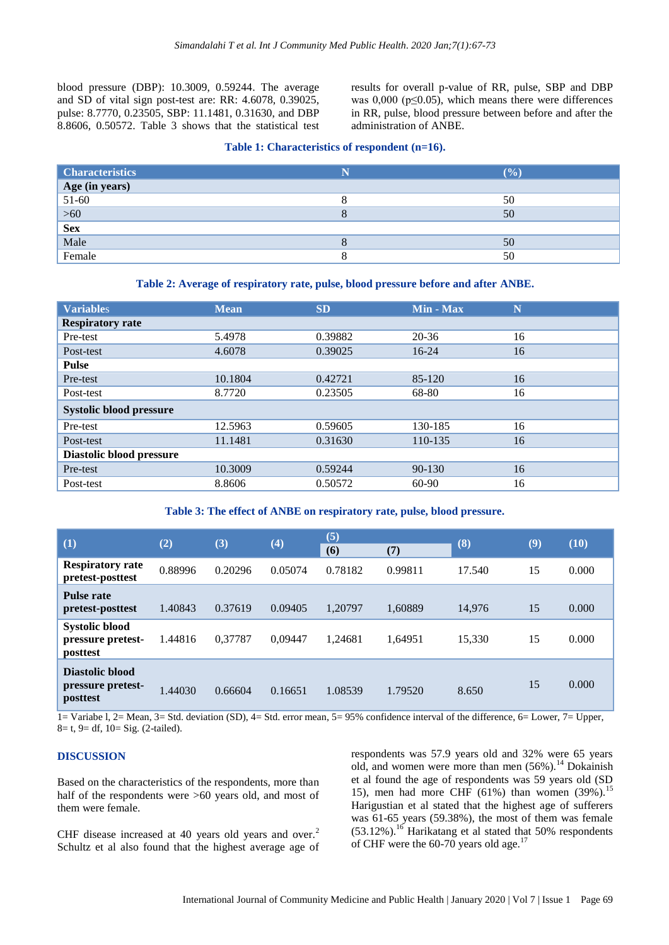blood pressure (DBP): 10.3009, 0.59244. The average and SD of vital sign post-test are: RR: 4.6078, 0.39025, pulse: 8.7770, 0.23505, SBP: 11.1481, 0.31630, and DBP 8.8606, 0.50572. Table 3 shows that the statistical test results for overall p-value of RR, pulse, SBP and DBP was  $0,000$  ( $p \le 0.05$ ), which means there were differences in RR, pulse, blood pressure between before and after the administration of ANBE.

#### **Table 1: Characteristics of respondent (n=16).**

| <b>Characteristics</b>   | N | (9/0) |
|--------------------------|---|-------|
| Age (in years)<br>51-60  |   |       |
|                          |   | 50    |
| $\frac{>60}{\text{Sex}}$ |   | 50    |
|                          |   |       |
| Male                     |   | 50    |
| Female                   |   | 50    |

#### **Table 2: Average of respiratory rate, pulse, blood pressure before and after ANBE.**

| <b>Variables</b>               | <b>Mean</b> | <b>SD</b> | Min - Max  | N  |  |  |  |  |
|--------------------------------|-------------|-----------|------------|----|--|--|--|--|
| <b>Respiratory rate</b>        |             |           |            |    |  |  |  |  |
| Pre-test                       | 5.4978      | 0.39882   | $20 - 36$  | 16 |  |  |  |  |
| Post-test                      | 4.6078      | 0.39025   | $16 - 24$  | 16 |  |  |  |  |
| <b>Pulse</b>                   |             |           |            |    |  |  |  |  |
| Pre-test                       | 10.1804     | 0.42721   | 85-120     | 16 |  |  |  |  |
| Post-test                      | 8.7720      | 0.23505   | 68-80      | 16 |  |  |  |  |
| <b>Systolic blood pressure</b> |             |           |            |    |  |  |  |  |
| Pre-test                       | 12.5963     | 0.59605   | 130-185    | 16 |  |  |  |  |
| Post-test                      | 11.1481     | 0.31630   | 110-135    | 16 |  |  |  |  |
| Diastolic blood pressure       |             |           |            |    |  |  |  |  |
| Pre-test                       | 10.3009     | 0.59244   | $90 - 130$ | 16 |  |  |  |  |
| Post-test                      | 8.8606      | 0.50572   | 60-90      | 16 |  |  |  |  |

#### **Table 3: The effect of ANBE on respiratory rate, pulse, blood pressure.**

| (1)                                                    | (2)     | (3)     | (4)     | (5)<br>(6) | (7)     | (8)    | (9) | (10)  |
|--------------------------------------------------------|---------|---------|---------|------------|---------|--------|-----|-------|
| <b>Respiratory rate</b><br>pretest-posttest            | 0.88996 | 0.20296 | 0.05074 | 0.78182    | 0.99811 | 17.540 | 15  | 0.000 |
| <b>Pulse rate</b><br>pretest-posttest                  | 1.40843 | 0.37619 | 0.09405 | 1.20797    | 1,60889 | 14,976 | 15  | 0.000 |
| <b>Systolic blood</b><br>pressure pretest-<br>posttest | 1.44816 | 0,37787 | 0.09447 | 1.24681    | 1.64951 | 15,330 | 15  | 0.000 |
| Diastolic blood<br>pressure pretest-<br>posttest       | 1.44030 | 0.66604 | 0.16651 | 1.08539    | 1.79520 | 8.650  | 15  | 0.000 |

1= Variabe l, 2= Mean, 3= Std. deviation (SD), 4= Std. error mean, 5= 95% confidence interval of the difference, 6= Lower, 7= Upper, 8= t, 9= df, 10= Sig. (2-tailed).

### **DISCUSSION**

Based on the characteristics of the respondents, more than half of the respondents were  $>60$  years old, and most of them were female.

CHF disease increased at 40 years old years and over.<sup>2</sup> Schultz et al also found that the highest average age of respondents was 57.9 years old and 32% were 65 years old, and women were more than men  $(56\%)$ .<sup>14</sup> Dokainish et al found the age of respondents was 59 years old (SD 15), men had more CHF (61%) than women  $(39\%)$ .<sup>15</sup> Harigustian et al stated that the highest age of sufferers was 61-65 years (59.38%), the most of them was female (53.12%).<sup>16</sup> Harikatang et al stated that 50% respondents of CHF were the 60-70 years old age.<sup>17</sup>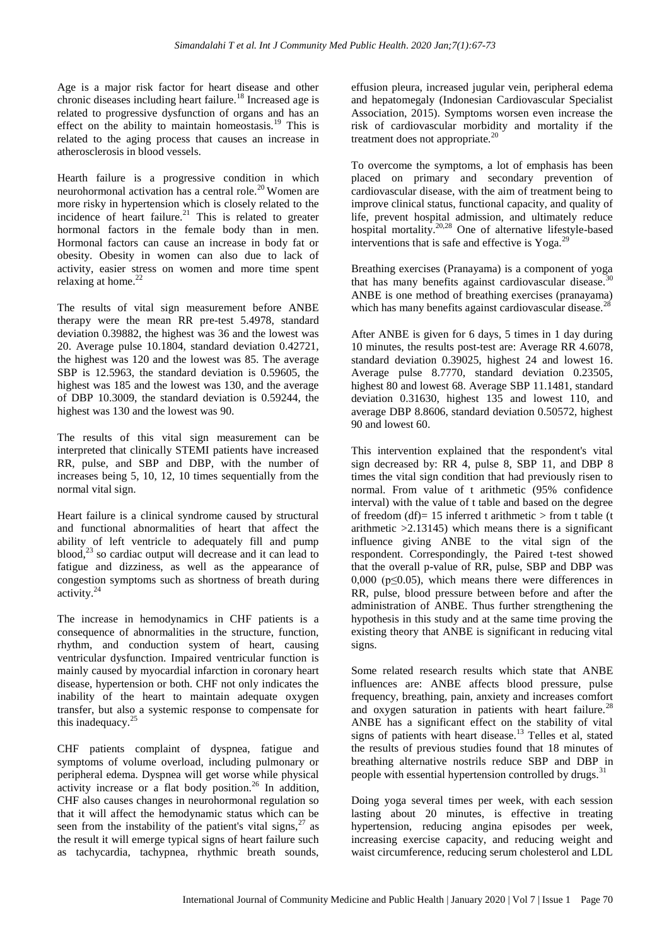Age is a major risk factor for heart disease and other chronic diseases including heart failure.<sup>18</sup> Increased age is related to progressive dysfunction of organs and has an effect on the ability to maintain homeostasis.<sup>19</sup> This is related to the aging process that causes an increase in atherosclerosis in blood vessels.

Hearth failure is a progressive condition in which neurohormonal activation has a central role.<sup>20</sup> Women are more risky in hypertension which is closely related to the incidence of heart failure.<sup>21</sup> This is related to greater hormonal factors in the female body than in men. Hormonal factors can cause an increase in body fat or obesity. Obesity in women can also due to lack of activity, easier stress on women and more time spent relaxing at home. $^{22}$ 

The results of vital sign measurement before ANBE therapy were the mean RR pre-test 5.4978, standard deviation 0.39882, the highest was 36 and the lowest was 20. Average pulse 10.1804, standard deviation 0.42721, the highest was 120 and the lowest was 85. The average SBP is 12.5963, the standard deviation is 0.59605, the highest was 185 and the lowest was 130, and the average of DBP 10.3009, the standard deviation is 0.59244, the highest was 130 and the lowest was 90.

The results of this vital sign measurement can be interpreted that clinically STEMI patients have increased RR, pulse, and SBP and DBP, with the number of increases being 5, 10, 12, 10 times sequentially from the normal vital sign.

Heart failure is a clinical syndrome caused by structural and functional abnormalities of heart that affect the ability of left ventricle to adequately fill and pump blood,<sup>23</sup> so cardiac output will decrease and it can lead to fatigue and dizziness, as well as the appearance of congestion symptoms such as shortness of breath during activity. $24$ 

The increase in hemodynamics in CHF patients is a consequence of abnormalities in the structure, function, rhythm, and conduction system of heart, causing ventricular dysfunction. Impaired ventricular function is mainly caused by myocardial infarction in coronary heart disease, hypertension or both. CHF not only indicates the inability of the heart to maintain adequate oxygen transfer, but also a systemic response to compensate for this inadequacy. $25$ 

CHF patients complaint of dyspnea, fatigue and symptoms of volume overload, including pulmonary or peripheral edema. Dyspnea will get worse while physical activity increase or a flat body position.<sup>26</sup> In addition, CHF also causes changes in neurohormonal regulation so that it will affect the hemodynamic status which can be seen from the instability of the patient's vital signs,  $27$  as the result it will emerge typical signs of heart failure such as tachycardia, tachypnea, rhythmic breath sounds,

effusion pleura, increased jugular vein, peripheral edema and hepatomegaly (Indonesian Cardiovascular Specialist Association, 2015). Symptoms worsen even increase the risk of cardiovascular morbidity and mortality if the treatment does not appropriate.<sup>20</sup>

To overcome the symptoms, a lot of emphasis has been placed on primary and secondary prevention of cardiovascular disease, with the aim of treatment being to improve clinical status, functional capacity, and quality of life, prevent hospital admission, and ultimately reduce hospital mortality.<sup>20,28</sup> One of alternative lifestyle-based interventions that is safe and effective is  $Yoga.<sup>29</sup>$ 

Breathing exercises (Pranayama) is a component of yoga that has many benefits against cardiovascular disease.<sup>3</sup> ANBE is one method of breathing exercises (pranayama) which has many benefits against cardiovascular disease.<sup>28</sup>

After ANBE is given for 6 days, 5 times in 1 day during 10 minutes, the results post-test are: Average RR 4.6078, standard deviation 0.39025, highest 24 and lowest 16. Average pulse 8.7770, standard deviation 0.23505, highest 80 and lowest 68. Average SBP 11.1481, standard deviation 0.31630, highest 135 and lowest 110, and average DBP 8.8606, standard deviation 0.50572, highest 90 and lowest 60.

This intervention explained that the respondent's vital sign decreased by: RR 4, pulse 8, SBP 11, and DBP 8 times the vital sign condition that had previously risen to normal. From value of t arithmetic (95% confidence interval) with the value of t table and based on the degree of freedom (df)= 15 inferred t arithmetic  $>$  from t table (t arithmetic  $>2.13145$ ) which means there is a significant influence giving ANBE to the vital sign of the respondent. Correspondingly, the Paired t-test showed that the overall p-value of RR, pulse, SBP and DBP was 0,000 ( $p \le 0.05$ ), which means there were differences in RR, pulse, blood pressure between before and after the administration of ANBE. Thus further strengthening the hypothesis in this study and at the same time proving the existing theory that ANBE is significant in reducing vital signs.

Some related research results which state that ANBE influences are: ANBE affects blood pressure, pulse frequency, breathing, pain, anxiety and increases comfort and oxygen saturation in patients with heart failure.<sup>28</sup> ANBE has a significant effect on the stability of vital signs of patients with heart disease.<sup>13</sup> Telles et al, stated the results of previous studies found that 18 minutes of breathing alternative nostrils reduce SBP and DBP in people with essential hypertension controlled by drugs.<sup>31</sup>

Doing yoga several times per week, with each session lasting about 20 minutes, is effective in treating hypertension, reducing angina episodes per week, increasing exercise capacity, and reducing weight and waist circumference, reducing serum cholesterol and LDL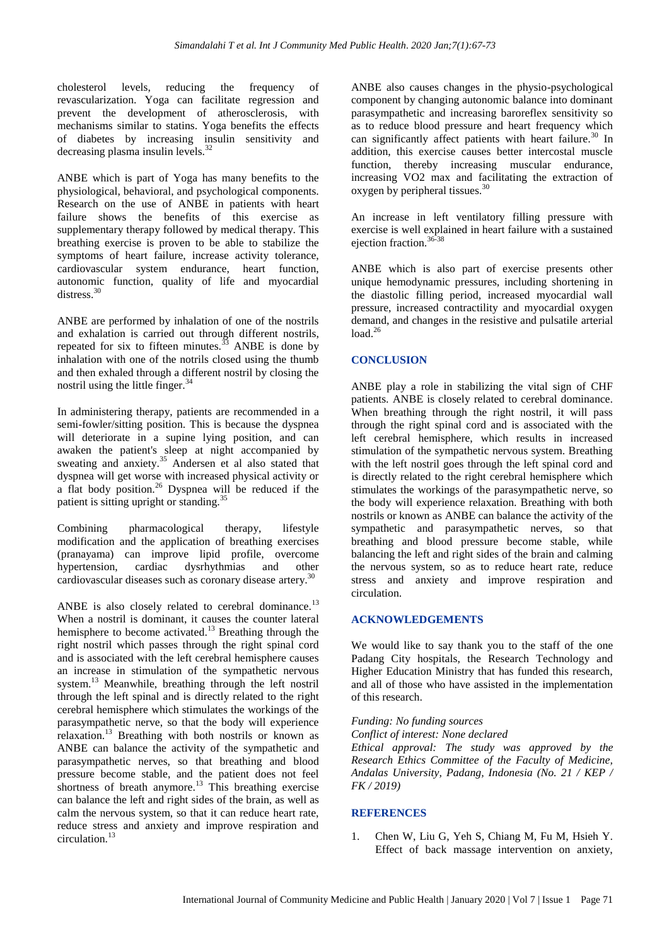cholesterol levels, reducing the frequency of revascularization. Yoga can facilitate regression and prevent the development of atherosclerosis, with mechanisms similar to statins. Yoga benefits the effects of diabetes by increasing insulin sensitivity and decreasing plasma insulin levels.<sup>32</sup>

ANBE which is part of Yoga has many benefits to the physiological, behavioral, and psychological components. Research on the use of ANBE in patients with heart failure shows the benefits of this exercise as supplementary therapy followed by medical therapy. This breathing exercise is proven to be able to stabilize the symptoms of heart failure, increase activity tolerance, cardiovascular system endurance, heart function, autonomic function, quality of life and myocardial distress<sup>30</sup>

ANBE are performed by inhalation of one of the nostrils and exhalation is carried out through different nostrils, repeated for six to fifteen minutes. $^{33}$  ANBE is done by inhalation with one of the notrils closed using the thumb and then exhaled through a different nostril by closing the nostril using the little finger. $34$ 

In administering therapy, patients are recommended in a semi-fowler/sitting position. This is because the dyspnea will deteriorate in a supine lying position, and can awaken the patient's sleep at night accompanied by sweating and anxiety. $35$  Andersen et al also stated that dyspnea will get worse with increased physical activity or a flat body position.<sup>26</sup> Dyspnea will be reduced if the patient is sitting upright or standing.<sup>35</sup>

Combining pharmacological therapy, lifestyle modification and the application of breathing exercises (pranayama) can improve lipid profile, overcome hypertension, cardiac dysrhythmias and other cardiovascular diseases such as coronary disease artery. 30

ANBE is also closely related to cerebral dominance.<sup>13</sup> When a nostril is dominant, it causes the counter lateral hemisphere to become activated.<sup>13</sup> Breathing through the right nostril which passes through the right spinal cord and is associated with the left cerebral hemisphere causes an increase in stimulation of the sympathetic nervous system.<sup>13</sup> Meanwhile, breathing through the left nostril through the left spinal and is directly related to the right cerebral hemisphere which stimulates the workings of the parasympathetic nerve, so that the body will experience relaxation.<sup>13</sup> Breathing with both nostrils or known as ANBE can balance the activity of the sympathetic and parasympathetic nerves, so that breathing and blood pressure become stable, and the patient does not feel shortness of breath anymore.<sup>13</sup> This breathing exercise can balance the left and right sides of the brain, as well as calm the nervous system, so that it can reduce heart rate, reduce stress and anxiety and improve respiration and circulation.<sup>13</sup>

ANBE also causes changes in the physio-psychological component by changing autonomic balance into dominant parasympathetic and increasing baroreflex sensitivity so as to reduce blood pressure and heart frequency which can significantly affect patients with heart failure.<sup>30</sup> In addition, this exercise causes better intercostal muscle function, thereby increasing muscular endurance, increasing VO2 max and facilitating the extraction of oxygen by peripheral tissues.<sup>30</sup>

An increase in left ventilatory filling pressure with exercise is well explained in heart failure with a sustained ejection fraction.<sup>36-38</sup>

ANBE which is also part of exercise presents other unique hemodynamic pressures, including shortening in the diastolic filling period, increased myocardial wall pressure, increased contractility and myocardial oxygen demand, and changes in the resistive and pulsatile arterial  $load.<sup>26</sup>$ 

# **CONCLUSION**

ANBE play a role in stabilizing the vital sign of CHF patients. ANBE is closely related to cerebral dominance. When breathing through the right nostril, it will pass through the right spinal cord and is associated with the left cerebral hemisphere, which results in increased stimulation of the sympathetic nervous system. Breathing with the left nostril goes through the left spinal cord and is directly related to the right cerebral hemisphere which stimulates the workings of the parasympathetic nerve, so the body will experience relaxation. Breathing with both nostrils or known as ANBE can balance the activity of the sympathetic and parasympathetic nerves, so that breathing and blood pressure become stable, while balancing the left and right sides of the brain and calming the nervous system, so as to reduce heart rate, reduce stress and anxiety and improve respiration and circulation.

#### **ACKNOWLEDGEMENTS**

We would like to say thank you to the staff of the one Padang City hospitals, the Research Technology and Higher Education Ministry that has funded this research, and all of those who have assisted in the implementation of this research.

#### *Funding: No funding sources*

*Conflict of interest: None declared*

*Ethical approval: The study was approved by the Research Ethics Committee of the Faculty of Medicine, Andalas University, Padang, Indonesia (No. 21 / KEP / FK / 2019)*

#### **REFERENCES**

1. Chen W, Liu G, Yeh S, Chiang M, Fu M, Hsieh Y. Effect of back massage intervention on anxiety,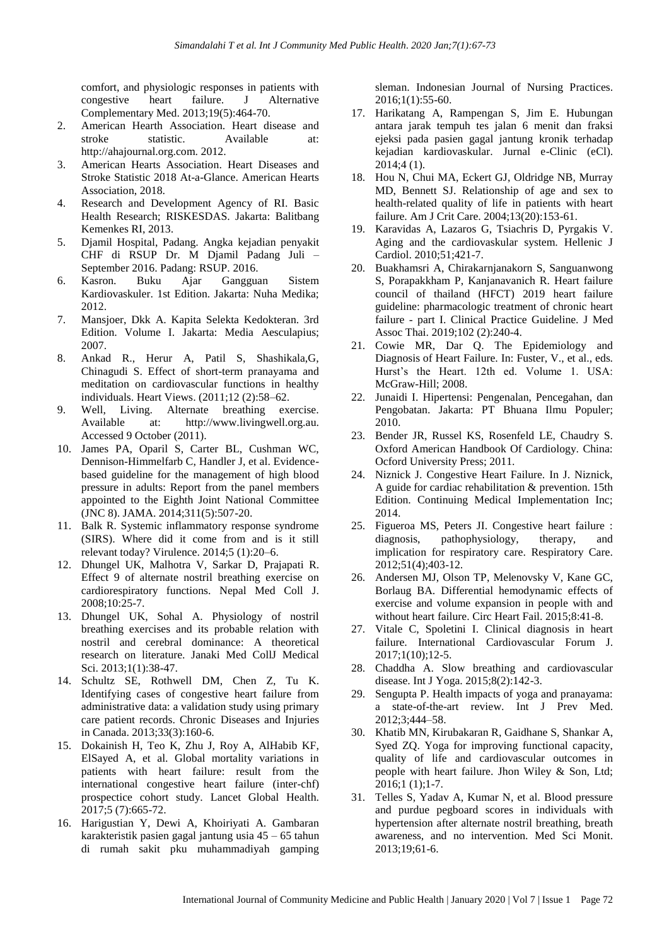comfort, and physiologic responses in patients with congestive heart failure. J Alternative Complementary Med. 2013;19(5):464-70.

- 2. American Hearth Association. Heart disease and stroke statistic. Available at: http://ahajournal.org.com. 2012.
- 3. American Hearts Association. Heart Diseases and Stroke Statistic 2018 At-a-Glance. American Hearts Association, 2018.
- 4. Research and Development Agency of RI. Basic Health Research; RISKESDAS. Jakarta: Balitbang Kemenkes RI, 2013.
- 5. Djamil Hospital, Padang. Angka kejadian penyakit CHF di RSUP Dr. M Djamil Padang Juli – September 2016. Padang: RSUP. 2016.
- 6. Kasron. Buku Ajar Gangguan Sistem Kardiovaskuler. 1st Edition. Jakarta: Nuha Medika; 2012.
- 7. Mansjoer, Dkk A. Kapita Selekta Kedokteran. 3rd Edition. Volume I. Jakarta: Media Aesculapius; 2007.
- 8. Ankad R., Herur A, Patil S, Shashikala,G, Chinagudi S. Effect of short-term pranayama and meditation on cardiovascular functions in healthy individuals. Heart Views. (2011;12 (2):58–62.
- 9. Well, Living. Alternate breathing exercise. Available at: http://www.livingwell.org.au. Accessed 9 October (2011).
- 10. James PA, Oparil S, Carter BL, Cushman WC, Dennison-Himmelfarb C, Handler J, et al. Evidencebased guideline for the management of high blood pressure in adults: Report from the panel members appointed to the Eighth Joint National Committee (JNC 8). JAMA. 2014;311(5):507-20.
- 11. Balk R. Systemic inflammatory response syndrome (SIRS). Where did it come from and is it still relevant today? Virulence. 2014;5 (1):20–6.
- 12. Dhungel UK, Malhotra V, Sarkar D, Prajapati R. Effect 9 of alternate nostril breathing exercise on cardiorespiratory functions. Nepal Med Coll J. 2008;10:25-7.
- 13. Dhungel UK, Sohal A. Physiology of nostril breathing exercises and its probable relation with nostril and cerebral dominance: A theoretical research on literature. Janaki Med CollJ Medical Sci. 2013;1(1):38-47.
- 14. Schultz SE, Rothwell DM, Chen Z, Tu K. Identifying cases of congestive heart failure from administrative data: a validation study using primary care patient records. Chronic Diseases and Injuries in Canada. 2013;33(3):160-6.
- 15. Dokainish H, Teo K, Zhu J, Roy A, AlHabib KF, ElSayed A, et al. Global mortality variations in patients with heart failure: result from the international congestive heart failure (inter-chf) prospectice cohort study. Lancet Global Health. 2017;5 (7):665-72.
- 16. Harigustian Y, Dewi A, Khoiriyati A. Gambaran karakteristik pasien gagal jantung usia 45 – 65 tahun di rumah sakit pku muhammadiyah gamping

sleman. Indonesian Journal of Nursing Practices. 2016;1(1):55-60.

- 17. Harikatang A, Rampengan S, Jim E. Hubungan antara jarak tempuh tes jalan 6 menit dan fraksi ejeksi pada pasien gagal jantung kronik terhadap kejadian kardiovaskular. Jurnal e-Clinic (eCl). 2014;4 (1).
- 18. Hou N, Chui MA, Eckert GJ, Oldridge NB, Murray MD, Bennett SJ. Relationship of age and sex to health-related quality of life in patients with heart failure. Am J Crit Care. 2004;13(20):153-61.
- 19. Karavidas A, Lazaros G, Tsiachris D, Pyrgakis V. Aging and the cardiovaskular system. Hellenic J Cardiol. 2010;51;421-7.
- 20. Buakhamsri A, Chirakarnjanakorn S, Sanguanwong S, Porapakkham P, Kanjanavanich R. Heart failure council of thailand (HFCT) 2019 heart failure guideline: pharmacologic treatment of chronic heart failure - part I. Clinical Practice Guideline. J Med Assoc Thai. 2019;102 (2):240-4.
- 21. Cowie MR, Dar Q. The Epidemiology and Diagnosis of Heart Failure. In: Fuster, V., et al., eds. Hurst's the Heart. 12th ed. Volume 1. USA: McGraw-Hill; 2008.
- 22. Junaidi I. Hipertensi: Pengenalan, Pencegahan, dan Pengobatan. Jakarta: PT Bhuana Ilmu Populer; 2010.
- 23. Bender JR, Russel KS, Rosenfeld LE, Chaudry S. Oxford American Handbook Of Cardiology. China: Ocford University Press; 2011.
- 24. Niznick J. Congestive Heart Failure. In J. Niznick, A guide for cardiac rehabilitation & prevention. 15th Edition. Continuing Medical Implementation Inc; 2014.
- 25. Figueroa MS, Peters JI. Congestive heart failure : diagnosis, pathophysiology, therapy, and implication for respiratory care. Respiratory Care. 2012;51(4);403-12.
- 26. Andersen MJ, Olson TP, Melenovsky V, Kane GC, Borlaug BA. Differential hemodynamic effects of exercise and volume expansion in people with and without heart failure. Circ Heart Fail. 2015;8:41-8.
- 27. Vitale C, Spoletini I. Clinical diagnosis in heart failure. International Cardiovascular Forum J. 2017;1(10);12-5.
- 28. Chaddha A. Slow breathing and cardiovascular disease. Int J Yoga. 2015;8(2):142-3.
- 29. Sengupta P. Health impacts of yoga and pranayama: a state-of-the-art review. Int J Prev Med. 2012;3;444–58.
- 30. Khatib MN, Kirubakaran R, Gaidhane S, Shankar A, Syed ZQ. Yoga for improving functional capacity, quality of life and cardiovascular outcomes in people with heart failure. Jhon Wiley & Son, Ltd; 2016;1 (1);1-7.
- 31. Telles S, Yadav A, Kumar N, et al. Blood pressure and purdue pegboard scores in individuals with hypertension after alternate nostril breathing, breath awareness, and no intervention. Med Sci Monit. 2013;19;61-6.